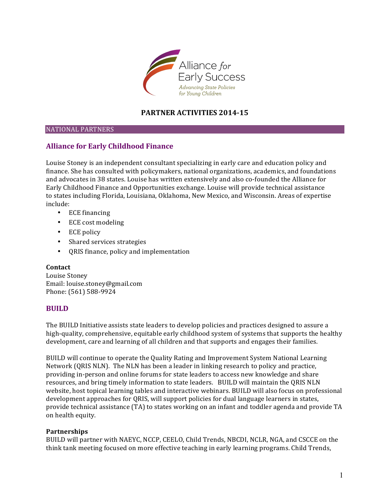

# **PARTNER ACTIVITIES 2014-15**

### NATIONAL'PARTNERS

# **Alliance for Early Childhood Finance**

Louise Stoney is an independent consultant specializing in early care and education policy and finance. She has consulted with policymakers, national organizations, academics, and foundations and advocates in 38 states. Louise has written extensively and also co-founded the Alliance for Early Childhood Finance and Opportunities exchange. Louise will provide technical assistance to states including Florida, Louisiana, Oklahoma, New Mexico, and Wisconsin. Areas of expertise include:

- ECE financing
- ECE cost modeling
- ECE policy
- Shared services strategies
- QRIS finance, policy and implementation

### **Contact**

Louise Stoney Email: louise.stoney@gmail.com Phone: (561) 588-9924

## **BUILD**

The BUILD Initiative assists state leaders to develop policies and practices designed to assure a high-quality, comprehensive, equitable early childhood system of systems that supports the healthy development, care and learning of all children and that supports and engages their families.

BUILD will continue to operate the Quality Rating and Improvement System National Learning Network (QRIS NLN). The NLN has been a leader in linking research to policy and practice, providing in-person and online forums for state leaders to access new knowledge and share resources, and bring timely information to state leaders. BUILD will maintain the QRIS NLN website, host topical learning tables and interactive webinars. BUILD will also focus on professional development approaches for QRIS, will support policies for dual language learners in states, provide technical assistance (TA) to states working on an infant and toddler agenda and provide TA on health equity.

### **Partnerships**

BUILD will partner with NAEYC, NCCP, CEELO, Child Trends, NBCDI, NCLR, NGA, and CSCCE on the think tank meeting focused on more effective teaching in early learning programs. Child Trends,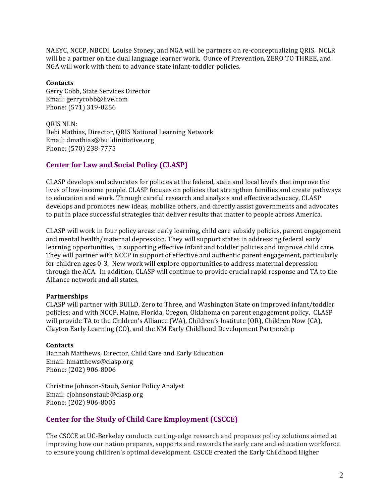NAEYC, NCCP, NBCDI, Louise Stoney, and NGA will be partners on re-conceptualizing QRIS. NCLR will be a partner on the dual language learner work. Ounce of Prevention, ZERO TO THREE, and NGA will work with them to advance state infant-toddler policies.

### **Contacts**

Gerry Cobb, State Services Director Email: gerrycobb@live.com Phone: (571) 319-0256

ORIS NLN: Debi Mathias, Director, QRIS National Learning Network Email: dmathias@buildinitiative.org Phone: (570) 238-7775

# **Center for Law and Social Policy (CLASP)**

CLASP develops and advocates for policies at the federal, state and local levels that improve the lives of low-income people. CLASP focuses on policies that strengthen families and create pathways' to education and work. Through careful research and analysis and effective advocacy, CLASP develops and promotes new ideas, mobilize others, and directly assist governments and advocates to put in place successful strategies that deliver results that matter to people across America.

CLASP will work in four policy areas: early learning, child care subsidy policies, parent engagement and mental health/maternal depression. They will support states in addressing federal early learning opportunities, in supporting effective infant and toddler policies and improve child care. They will partner with NCCP in support of effective and authentic parent engagement, particularly for children ages 0-3. New work will explore opportunities to address maternal depression through the ACA. In addition, CLASP will continue to provide crucial rapid response and TA to the Alliance network and all states.

### **Partnerships**

CLASP will partner with BUILD, Zero to Three, and Washington State on improved infant/toddler policies; and with NCCP, Maine, Florida, Oregon, Oklahoma on parent engagement policy. CLASP will provide TA to the Children's Alliance (WA), Children's Institute (OR), Children Now (CA), Clayton Early Learning (CO), and the NM Early Childhood Development Partnership

## **Contacts**

Hannah Matthews, Director, Child Care and Early Education Email: hmatthews@clasp.org Phone: (202) 906-8006

Christine Johnson-Staub, Senior Policy Analyst Email: cjohnsonstaub@clasp.org Phone: (202) 906-8005

# **Center for the Study of Child Care Employment (CSCCE)**

The CSCCE at UC-Berkeley conducts cutting-edge research and proposes policy solutions aimed at improving how our nation prepares, supports and rewards the early care and education workforce to ensure young children's optimal development. CSCCE created the Early Childhood Higher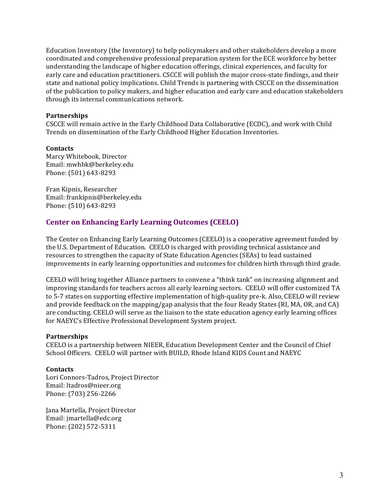Education Inventory (the Inventory) to help policymakers and other stakeholders develop a more coordinated'and'comprehensive'professional'preparation'system'for'the'ECE'workforce'by'better' understanding the landscape of higher education offerings, clinical experiences, and faculty for early care and education practitioners. CSCCE will publish the major cross-state findings, and their state and national policy implications. Child Trends is partnering with CSCCE on the dissemination of the publication to policy makers, and higher education and early care and education stakeholders through its internal communications network.

## **Partnerships**

CSCCE will remain active in the Early Childhood Data Collaborative (ECDC), and work with Child Trends on dissemination of the Early Childhood Higher Education Inventories.

### **Contacts**

Marcy Whitebook, Director Email: mwhbk@berkeley.edu Phone: (501) 643-8293

Fran Kipnis, Researcher Email: frankipnis@berkeley.edu Phone: (510) 643-8293

## **Center on Enhancing Early Learning Outcomes (CEELO)**

The Center on Enhancing Early Learning Outcomes (CEELO) is a cooperative agreement funded by the U.S. Department of Education. CEELO is charged with providing technical assistance and resources to strengthen the capacity of State Education Agencies (SEAs) to lead sustained improvements in early learning opportunities and outcomes for children birth through third grade.

CEELO'will'bring'together'Alliance'partners'to'convene'a'"think'tank"'on'increasing'alignment'and' improving standards for teachers across all early learning sectors. CEELO will offer customized TA to 5-7 states on supporting effective implementation of high-quality pre-k. Also, CEELO will review and provide feedback on the mapping/gap analysis that the four Ready States (RI, MA, OR, and CA) are conducting. CEELO will serve as the liaison to the state education agency early learning offices for NAEYC's Effective Professional Development System project.

### **Partnerships**

CEELO is a partnership between NIEER, Education Development Center and the Council of Chief School Officers. CEELO will partner with BUILD, Rhode Island KIDS Count and NAEYC

### **Contacts**

Lori Connors-Tadros, Project Director Email: ltadros@nieer.org Phone: (703) 256-2266

Jana Martella, Project Director Email: jmartella@edc.org Phone: (202) 572-5311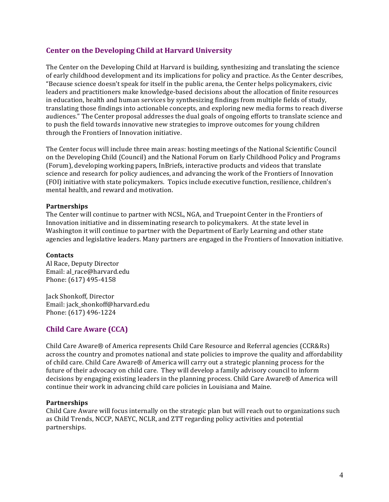# **Center on the Developing Child at Harvard University**

The Center on the Developing Child at Harvard is building, synthesizing and translating the science of early childhood development and its implications for policy and practice. As the Center describes, "Because science doesn't speak for itself in the public arena, the Center helps policymakers, civic leaders and practitioners make knowledge-based decisions about the allocation of finite resources' in'education, health'and human services by synthesizing findings from multiple fields of study, translating those findings into actionable concepts, and exploring new media forms to reach diverse audiences." The Center proposal addresses the dual goals of ongoing efforts to translate science and to push the field towards innovative new strategies to improve outcomes for young children' through the Frontiers of Innovation initiative.

The Center focus will include three main areas: hosting meetings of the National Scientific Council on the Developing Child (Council) and the National Forum on Early Childhood Policy and Programs (Forum), developing working papers, InBriefs, interactive products and videos that translate science and research for policy audiences, and advancing the work of the Frontiers of Innovation (FOI) initiative with state policymakers. Topics include executive function, resilience, children's mental health, and reward and motivation.

## **Partnerships**

The Center will continue to partner with NCSL, NGA, and Truepoint Center in the Frontiers of Innovation initiative and in disseminating research to policymakers. At the state level in Washington it will continue to partner with the Department of Early Learning and other state agencies and legislative leaders. Many partners are engaged in the Frontiers of Innovation initiative.

### **Contacts**

Al Race, Deputy Director Email: al\_race@harvard.edu Phone: (617) 495-4158

Jack Shonkoff, Director Email: jack\_shonkoff@harvard.edu Phone: (617) 496-1224

# **Child Care Aware (CCA)**

Child Care Aware® of America represents Child Care Resource and Referral agencies (CCR&Rs) across the country and promotes national and state policies to improve the quality and affordability of child care. Child Care Aware® of America will carry out a strategic planning process for the future of their advocacy on child care. They will develop a family advisory council to inform decisions by engaging existing leaders in the planning process. Child Care Aware® of America will continue their work in advancing child care policies in Louisiana and Maine.

### **Partnerships**

Child Care Aware will focus internally on the strategic plan but will reach out to organizations such as Child Trends, NCCP, NAEYC, NCLR, and ZTT regarding policy activities and potential partnerships.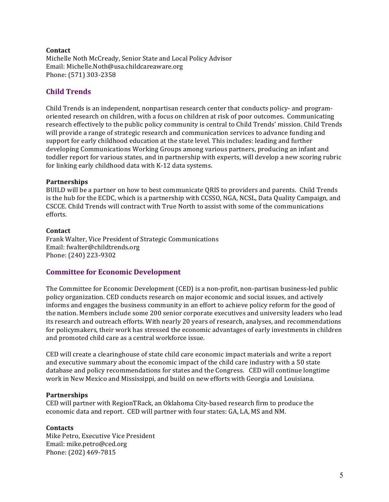## **Contact**

Michelle Noth McCready, Senior State and Local Policy Advisor Email: Michelle.Noth@usa.childcareaware.org Phone: (571) 303-2358

# **Child!Trends**

Child Trends is an independent, nonpartisan research center that conducts policy- and programoriented research on children, with a focus on children at risk of poor outcomes. Communicating research effectively to the public policy community is central to Child Trends' mission. Child Trends' will provide a range of strategic research and communication services to advance funding and support for early childhood education at the state level. This includes: leading and further developing Communications' Working Groups' among various' partners, producing an infant and toddler report for various states, and in partnership with experts, will develop a new scoring rubric for linking early childhood data with K-12 data systems.

## **Partnerships**

BUILD will be a partner on how to best communicate ORIS to providers and parents. Child Trends is the hub for the ECDC, which is a partnership with CCSSO, NGA, NCSL, Data Quality Campaign, and CSCCE. Child Trends will contract with True North to assist with some of the communications efforts.''

### **Contact**

Frank Walter, Vice President of Strategic Communications Email: fwalter@childtrends.org Phone: (240) 223-9302

## **Committee for Economic Development**

The Committee for Economic Development (CED) is a non-profit, non-partisan business-led public policy organization. CED conducts research on major economic and social issues, and actively informs and engages the business community in an effort to achieve policy reform for the good of the nation. Members include some 200 senior corporate executives and university leaders who lead its research and outreach efforts. With nearly 20 years of research, analyses, and recommendations for policymakers, their work has stressed the economic advantages of early investments in children' and promoted child care as a central workforce issue.

CED'will'create'a'clearinghouse'of'state'child'care'economic'impact'materials'and'write'a'report' and executive summary about the economic impact of the child care industry with a 50 state database and policy recommendations for states and the Congress. CED will continue longtime work in New Mexico and Mississippi, and build on new efforts with Georgia and Louisiana.

### **Partnerships**

CED will partner with RegionTRack, an Oklahoma City-based research firm to produce the economic data and report. CED will partner with four states: GA, LA, MS and NM.

## **Contacts**

Mike Petro, Executive Vice President Email: mike.petro@ced.org Phone: (202) 469-7815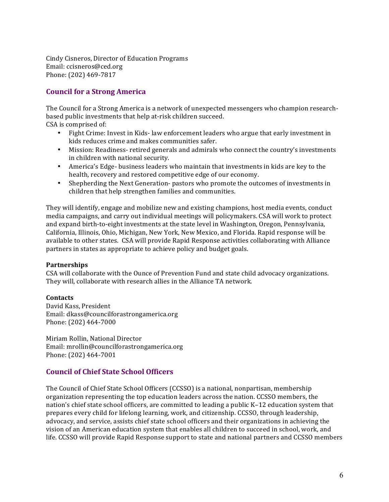Cindy Cisneros, Director of Education Programs Email: ccisneros@ced.org Phone: (202) 469-7817

# **Council for a Strong America**

The Council for a Strong America is a network of unexpected messengers who champion researchbased public investments that help at-risk children succeed. CSA is comprised of:

- Fight Crime: Invest in Kids-law enforcement leaders who argue that early investment in kids reduces crime and makes communities safer.
- Mission: Readiness- retired generals and admirals who connect the country's investments in children with national security.
- America's Edge-business leaders who maintain that investments in kids are key to the health, recovery and restored competitive edge of our economy.
- Shepherding the Next Generation- pastors who promote the outcomes of investments in children that help strengthen families and communities.

They will identify, engage and mobilize new and existing champions, host media events, conduct media campaigns, and carry out individual meetings will policymakers. CSA will work to protect and expand birth-to-eight investments at the state level in Washington, Oregon, Pennsylvania, California, Illinois, Ohio, Michigan, New York, New Mexico, and Florida. Rapid response will be available to other states. CSA will provide Rapid Response activities collaborating with Alliance partners in states as appropriate to achieve policy and budget goals.

### **Partnerships**

CSA will collaborate with the Ounce of Prevention Fund and state child advocacy organizations. They will, collaborate with research allies in the Alliance TA network.

### **Contacts**

David Kass, President Email: dkass@councilforastrongamerica.org Phone: (202) 464-7000

Miriam Rollin, National Director Email: mrollin@councilforastrongamerica.org Phone: (202) 464-7001

# **Council of Chief State School Officers**

The Council of Chief State School Officers (CCSSO) is a national, nonpartisan, membership organization' representing the top education leaders across the nation. CCSSO members, the nation's chief state school officers, are committed to leading a public K–12 education system that prepares' every child for lifelong learning, work, and citizenship. CCSSO, through leadership. advocacy, and service, assists chief state school officers and their organizations in achieving the vision of an American education system that enables all children to succeed in school, work, and life. CCSSO will provide Rapid Response support to state and national partners and CCSSO members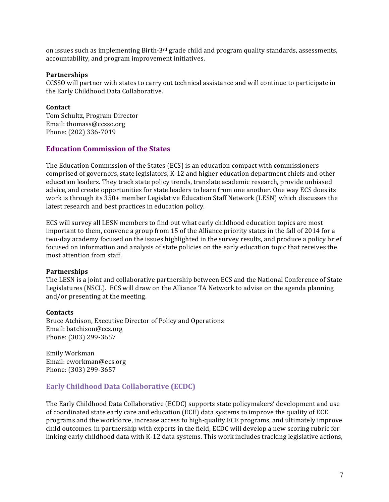on issues such as implementing Birth-3<sup>rd</sup> grade child and program quality standards, assessments, accountability, and program improvement initiatives.

#### **Partnerships**

CCSSO will partner with states to carry out technical assistance and will continue to participate in the Early Childhood Data Collaborative.

#### **Contact**

Tom Schultz, Program Director Email: thomass@ccsso.org Phone: (202) 336-7019

## **Education Commission of the States**

The Education Commission of the States (ECS) is an education compact with commissioners comprised of governors, state legislators, K-12 and higher education department chiefs and other education leaders. They track state policy trends, translate academic research, provide unbiased advice, and create opportunities for state leaders to learn from one another. One way ECS does its work is through its 350+ member Legislative Education Staff Network (LESN) which discusses the latest research and best practices in education policy.

ECS will survey all LESN members to find out what early childhood education topics are most important to them, convene a group from 15 of the Alliance priority states in the fall of 2014 for a two-day academy focused on the issues highlighted in the survey results, and produce a policy brief focused on information and analysis of state policies on the early education topic that receives the most attention from staff.

### **Partnerships**

The LESN is a joint and collaborative partnership between ECS and the National Conference of State Legislatures (NSCL). ECS will draw on the Alliance TA Network to advise on the agenda planning and/or presenting at the meeting.

### **Contacts**

Bruce Atchison, Executive Director of Policy and Operations Email: batchison@ecs.org Phone: (303) 299-3657

Emily'Workman' Email: eworkman@ecs.org Phone: (303) 299-3657

## **Early Childhood Data Collaborative (ECDC)**

The Early Childhood Data Collaborative (ECDC) supports state policymakers' development and use of coordinated state early care and education (ECE) data systems to improve the quality of ECE programs and the workforce, increase access to high-quality ECE programs, and ultimately improve child outcomes. in partnership with experts in the field, ECDC will develop a new scoring rubric for linking early childhood data with K-12 data systems. This work includes tracking legislative actions,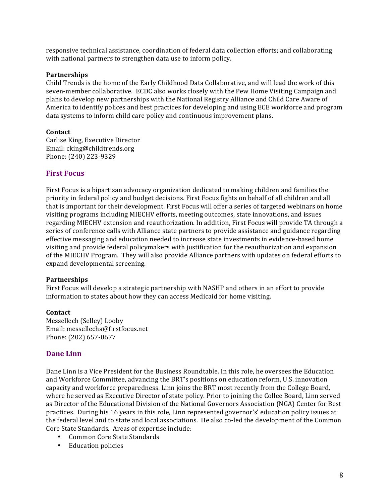responsive technical assistance, coordination of federal data collection efforts; and collaborating with national partners to strengthen data use to inform policy.

#### **Partnerships**

Child Trends is the home of the Early Childhood Data Collaborative, and will lead the work of this seven-member collaborative.''ECDC also works closely with the Pew Home Visiting Campaign and plans to develop new partnerships with the National Registry Alliance and Child Care Aware of America to identify polices and best practices for developing and using ECE workforce and program data systems to inform child care policy and continuous improvement plans.

### **Contact**

Carlise King, Executive Director Email: cking@childtrends.org Phone: (240) 223-9329

## **First!Focus**

First Focus is a bipartisan advocacy organization dedicated to making children and families the priority in federal policy and budget decisions. First Focus fights on behalf of all children and all that is important for their development. First Focus will offer a series of targeted webinars on home visiting programs including MIECHV efforts, meeting outcomes, state innovations, and issues regarding MIECHV extension and reauthorization. In addition, First Focus will provide TA through a series of conference calls with Alliance state partners to provide assistance and guidance regarding effective messaging and education needed to increase state investments in evidence-based home visiting and provide federal policymakers with justification for the reauthorization and expansion of the MIECHV Program. They will also provide Alliance partners with updates on federal efforts to expand developmental screening.

### **Partnerships**

First Focus will develop a strategic partnership with NASHP and others in an effort to provide information to states about how they can access Medicaid for home visiting.

### **Contact**

Messellech (Selley) Looby Email: messellecha@firstfocus.net Phone: (202) 657-0677

## **Dane Linn**

Dane Linn is a Vice President for the Business Roundtable. In this role, he oversees the Education and Workforce Committee, advancing the BRT's positions on education reform, U.S. innovation capacity and workforce preparedness. Linn joins the BRT most recently from the College Board, where he served as Executive Director of state policy. Prior to joining the Collee Board, Linn served as Director of the Educational Division of the National Governors Association (NGA) Center for Best practices. During his 16 years in this role, Linn represented governor's' education policy issues at the federal level and to state and local associations. He also co-led the development of the Common Core State Standards. Areas of expertise include:

- Common Core State Standards
- Education policies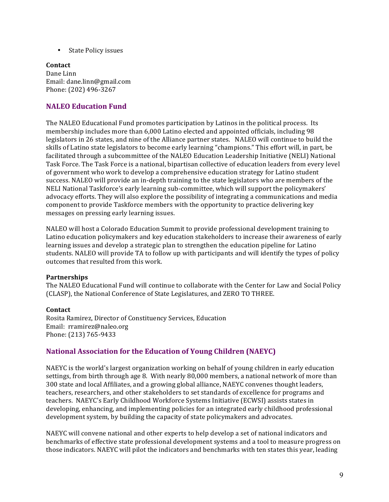• State Policy issues

## **Contact** Dane Linn Email: dane.linn@gmail.com

Phone: (202) 496-3267

# **NALEO Education Fund**

The NALEO Educational Fund promotes participation by Latinos in the political process. Its membership includes more than 6,000 Latino elected and appointed officials, including 98 legislators in 26 states, and nine of the Alliance partner states. NALEO will continue to build the skills of Latino state legislators to become early learning "champions." This effort will, in part, be facilitated through a subcommittee of the NALEO Education Leadership Initiative (NELI) National Task Force. The Task Force is a national, bipartisan collective of education leaders from every level of government who work to develop a comprehensive education strategy for Latino student success. NALEO will provide an in-depth training to the state legislators who are members of the NELI National Taskforce's early learning sub-committee, which will support the policymakers' advocacy efforts. They will also explore the possibility of integrating a communications and media component to provide Taskforce members with the opportunity to practice delivering key messages on pressing early learning issues.

NALEO will host a Colorado Education Summit to provide professional development training to Latino education policymakers and key education stakeholders to increase their awareness of early learning issues and develop a strategic plan to strengthen the education pipeline for Latino' students. NALEO will provide TA to follow up with participants and will identify the types of policy outcomes that resulted from this work.

## **Partnerships**

The NALEO Educational Fund will continue to collaborate with the Center for Law and Social Policy (CLASP), the National Conference of State Legislatures, and ZERO TO THREE.

## **Contact**

Rosita Ramirez, Director of Constituency Services, Education Email: rramirez@naleo.org Phone: (213) 765-9433

# **National Association for the Education of Young Children (NAEYC)**

NAEYC is the world's largest organization working on behalf of young children in early education settings, from birth through age 8. With nearly 80,000 members, a national network of more than 300 state and local Affiliates, and a growing global alliance, NAEYC convenes thought leaders, teachers, researchers, and other stakeholders to set standards of excellence for programs and teachers. NAEYC's Early Childhood Workforce Systems Initiative (ECWSI) assists states in developing, enhancing, and implementing policies for an integrated early childhood professional development system, by building the capacity of state policymakers and advocates.

NAEYC will convene national and other experts to help develop a set of national indicators and benchmarks of effective state professional development systems and a tool to measure progress on those indicators. NAEYC will pilot the indicators and benchmarks with ten states this year, leading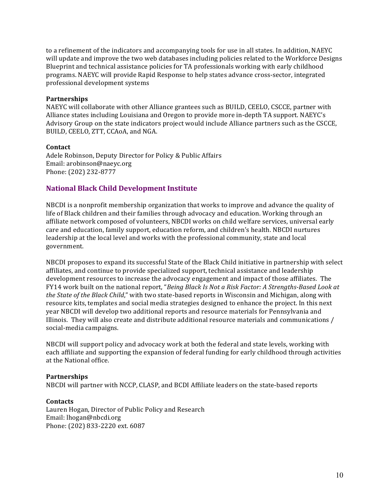to a refinement of the indicators and accompanying tools for use in all states. In addition, NAEYC will update and improve the two web databases including policies related to the Workforce Designs' Blueprint and technical assistance policies for TA professionals working with early childhood programs. NAEYC will provide Rapid Response to help states advance cross-sector, integrated professional development systems

### **Partnerships**

NAEYC will collaborate with other Alliance grantees such as BUILD, CEELO, CSCCE, partner with Alliance states including Louisiana and Oregon to provide more in-depth TA support. NAEYC's Advisory Group on the state indicators project would include Alliance partners such as the CSCCE, BUILD, CEELO, ZTT, CCAoA, and NGA.

## **Contact**

Adele Robinson, Deputy Director for Policy & Public Affairs Email: arobinson@naeyc.org Phone: (202) 232-8777

# **National Black Child Development Institute**

NBCDI is a nonprofit membership organization that works to improve and advance the quality of life of Black children and their families through advocacy and education. Working through an affiliate network composed of volunteers, NBCDI works on child welfare services, universal early care and education, family support, education reform, and children's health. NBCDI nurtures leadership at the local level and works with the professional community, state and local government.'

NBCDI'proposes'to'expand'its'successful'State'of'the'Black'Child'initiative'in'partnership'with'select' affiliates, and continue to provide specialized support, technical assistance and leadership development resources to increase the advocacy engagement and impact of those affiliates. The FY14 work built on the national report, "*Being Black Is Not a Risk Factor: A Strengths-Based Look at the State of the Black Child*," with two state-based reports in Wisconsin and Michigan, along with resource kits, templates and social media strategies designed to enhance the project. In this next year NBCDI will develop two additional reports and resource materials for Pennsylvania and Illinois. They will also create and distribute additional resource materials and communications / social-media campaigns.

NBCDI will support policy and advocacy work at both the federal and state levels, working with each affiliate and supporting the expansion of federal funding for early childhood through activities at the National office.

### **Partnerships**

NBCDI will partner with NCCP, CLASP, and BCDI Affiliate leaders on the state-based reports

### **Contacts**

Lauren Hogan, Director of Public Policy and Research Email: lhogan@nbcdi.org Phone: (202) 833-2220 ext. 6087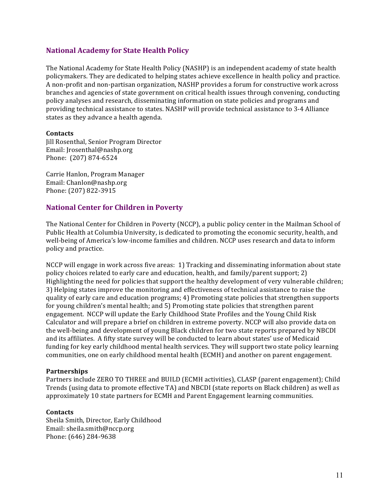## **National Academy for State Health Policy**

The National Academy for State Health Policy (NASHP) is an independent academy of state health policymakers. They are dedicated to helping states achieve excellence in health policy and practice. A non-profit and non-partisan organization, NASHP provides a forum for constructive work across branches and agencies of state government on critical health issues through convening, conducting policy analyses and research, disseminating information on state policies and programs and providing technical assistance to states. NASHP will provide technical assistance to 3-4 Alliance states as they advance a health agenda.

### **Contacts**

Jill'Rosenthal,'Senior'Program'Director Email: Jrosenthal@nashp.org Phone: (207) 874-6524

Carrie Hanlon, Program Manager Email: Chanlon@nashp.org Phone: (207) 822-3915

## **National Center for Children in Poverty**

The National Center for Children in Poverty (NCCP), a public policy center in the Mailman School of Public Health at Columbia University, is dedicated to promoting the economic security, health, and well-being of America's low-income families and children. NCCP uses research and data to inform policy and practice.

NCCP will engage in work across five areas: 1) Tracking and disseminating information about state policy choices related to early care and education, health, and family/parent support; 2) Highlighting the need for policies that support the healthy development of very vulnerable children; 3) Helping states improve the monitoring and effectiveness of technical assistance to raise the quality of early care and education programs; 4) Promoting state policies that strengthen supports for young children's mental health; and 5) Promoting state policies that strengthen parent engagement. NCCP will update the Early Childhood State Profiles and the Young Child Risk Calculator and will prepare a brief on children in extreme poverty. NCCP will also provide data on the well-being and development of young Black children for two state reports prepared by NBCDI and its affiliates. A fifty state survey will be conducted to learn about states' use of Medicaid funding for key early childhood mental health services. They will support two state policy learning communities, one on early childhood mental health (ECMH) and another on parent engagement.

### **Partnerships**

Partners include ZERO TO THREE and BUILD (ECMH activities), CLASP (parent engagement); Child Trends (using data to promote effective TA) and NBCDI (state reports on Black children) as well as approximately 10 state partners for ECMH and Parent Engagement learning communities.

### **Contacts**

Sheila Smith, Director, Early Childhood Email: sheila.smith@nccp.org Phone: (646) 284-9638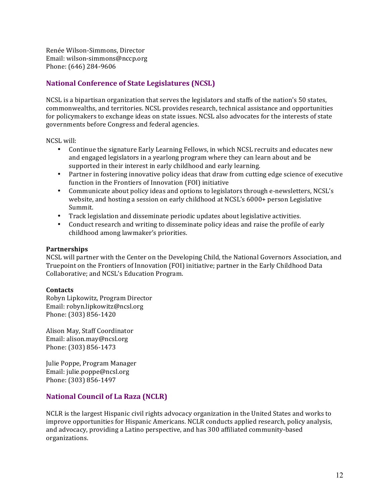Renée Wilson-Simmons, Director Email: wilson-simmons@nccp.org Phone: (646) 284-9606

# **National Conference of State Legislatures (NCSL)**

NCSL is a bipartisan organization that serves the legislators and staffs of the nation's 50 states, commonwealths, and territories. NCSL provides research, technical assistance and opportunities for policymakers to exchange ideas on state issues. NCSL also advocates for the interests of state governments before Congress and federal agencies.

NCSL will:

- Continue the signature Early Learning Fellows, in which NCSL recruits and educates new and engaged legislators in a yearlong program where they can learn about and be supported in their interest in early childhood and early learning.
- Partner in fostering innovative policy ideas that draw from cutting edge science of executive function in the Frontiers of Innovation (FOI) initiative
- Communicate about policy ideas and options to legislators through e-newsletters, NCSL's website, and hosting a session on early childhood at NCSL's 6000+ person Legislative Summit.'
- Track legislation and disseminate periodic updates about legislative activities.
- Conduct research and writing to disseminate policy ideas and raise the profile of early childhood among lawmaker's priorities.

## **Partnerships**

NCSL will partner with the Center on the Developing Child, the National Governors Association, and Truepoint on the Frontiers of Innovation (FOI) initiative; partner in the Early Childhood Data Collaborative; and NCSL's Education Program.

### **Contacts**

Robyn Lipkowitz, Program Director Email: robyn.lipkowitz@ncsl.org Phone: (303) 856-1420

Alison May, Staff Coordinator Email: alison.may@ncsl.org Phone: (303) 856-1473

Julie Poppe, Program Manager Email: julie.poppe@ncsl.org Phone: (303) 856-1497

# **National Council of La Raza (NCLR)**

NCLR is the largest Hispanic civil rights advocacy organization in the United States and works to improve opportunities for Hispanic Americans. NCLR conducts applied research, policy analysis, and advocacy, providing a Latino perspective, and has 300 affiliated community-based organizations.'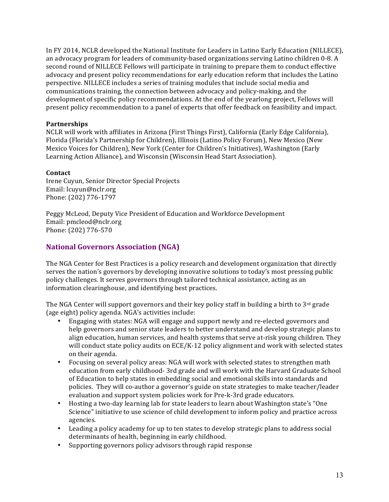In FY 2014, NCLR developed the National Institute for Leaders in Latino Early Education (NILLECE), an advocacy program for leaders of community-based organizations serving Latino children 0-8. A second round of NILLECE Fellows will participate in training to prepare them to conduct effective advocacy and present policy recommendations for early education reform that includes the Latino perspective. NILLECE includes a series of training modules that include social media and communications training, the connection between advocacy and policy-making, and the development of specific policy recommendations. At the end of the yearlong project, Fellows will present policy recommendation to a panel of experts that offer feedback on feasibility and impact.

## **Partnerships**

NCLR will work with affiliates in Arizona (First Things First), California (Early Edge California), Florida (Florida's Partnership for Children), Illinois (Latino Policy Forum), New Mexico (New Mexico Voices for Children), New York (Center for Children's Initiatives), Washington (Early Learning Action Alliance), and Wisconsin (Wisconsin Head Start Association).

### **Contact**

Irene Cuyun, Senior Director Special Projects Email: lcuyun@nclr.org Phone: (202) 776-1797

Peggy McLeod, Deputy Vice President of Education and Workforce Development Email: pmcleod@nclr.org Phone: (202) 776-570

# **National Governors Association (NGA)**

The NGA Center for Best Practices is a policy research and development organization that directly serves the nation's governors by developing innovative solutions to today's most pressing public policy challenges. It serves governors through tailored technical assistance, acting as an information clearinghouse, and identifying best practices.

The NGA Center will support governors and their key policy staff in building a birth to  $3<sup>rd</sup>$  grade (age eight) policy agenda. NGA's activities include:

- Engaging with states: NGA will engage and support newly and re-elected governors and help governors and senior state leaders to better understand and develop strategic plans to align education, human services, and health systems that serve at-risk young children. They will conduct state policy audits on ECE/K-12 policy alignment and work with selected states on their agenda.
- Focusing on several policy areas: NGA will work with selected states to strengthen math education from early childhood-3rd grade and will work with the Harvard Graduate School of'Education'to'help'states'in'embedding'social'and'emotional'skills'into'standards'and' policies. They will co-author a governor's guide on state strategies to make teacher/leader evaluation and support system policies work for Pre-k-3rd grade educators.
- Hosting a two-day learning lab for state leaders to learn about Washington state's "One" Science" initiative to use science of child development to inform policy and practice across agencies.
- Leading a policy academy for up to ten states to develop strategic plans to address social determinants of health, beginning in early childhood.
- Supporting governors policy advisors through rapid response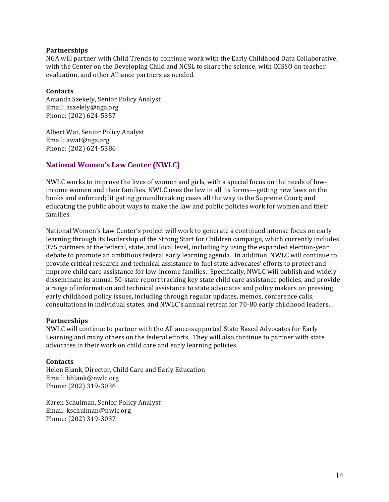## **Partnerships**

NGA will partner with Child Trends to continue work with the Early Childhood Data Collaborative, with the Center on the Developing Child and NCSL to share the science, with CCSSO on teacher evaluation, and other Alliance partners as needed.

## **Contacts**

Amanda Szekely, Senior Policy Analyst Email: aszelely@nga.org Phone: (202) 624-5357

Albert Wat, Senior Policy Analyst Email: awat@nga.org Phone: (202) 624-5386

# **National Women's Law Center (NWLC)**

NWLC works to improve the lives of women and girls, with a special focus on the needs of lowincome women and their families. NWLC uses the law in all its forms—getting new laws on the books and enforced; litigating groundbreaking cases all the way to the Supreme Court; and educating the public about ways to make the law and public policies work for women and their families.

National Women's Law Center's project will work to generate a continued intense focus on early learning through its leadership of the Strong Start for Children campaign, which currently includes 375 partners at the federal, state, and local level, including by using the expanded election-year debate to promote an ambitious federal early learning agenda. In addition, NWLC will continue to provide critical research and technical assistance to fuel state advocates' efforts to protect and improve child care assistance for low-income families. Specifically, NWLC will publish and widely disseminate its annual 50-state report tracking key state child care assistance policies, and provide a range of information and technical assistance to state advocates and policy makers on pressing early childhood policy issues, including through regular updates, memos, conference calls, consultations in individual states, and NWLC's annual retreat for 70-80 early childhood leaders.

## **Partnerships**

NWLC will continue to partner with the Alliance-supported State Based Advocates for Early Learning and many others on the federal efforts. They will also continue to partner with state advocates in their work on child care and early learning policies.

### **Contacts**

Helen Blank, Director, Child Care and Early Education Email: hblank@nwlc.org Phone: (202) 319-3036

Karen Schulman, Senior Policy Analyst Email: kschulman@nwlc.org Phone: (202) 319-3037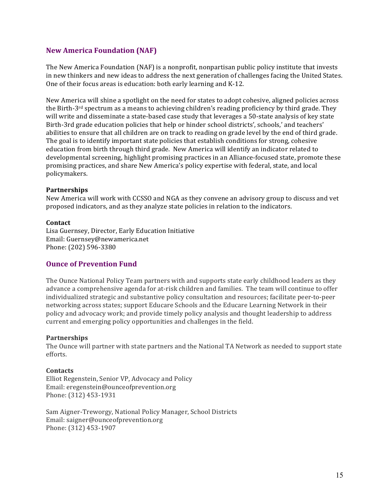# **New America Foundation (NAF)**

The New America Foundation (NAF) is a nonprofit, nonpartisan public policy institute that invests in new thinkers and new ideas to address the next generation of challenges facing the United States. One of their focus areas is education: both early learning and K-12.

New America will shine a spotlight on the need for states to adopt cohesive, aligned policies across' the Birth-3<sup>rd</sup> spectrum as a means to achieving children's reading proficiency by third grade. They will write and disseminate a state-based case study that leverages a 50-state analysis of key state Birth-3rd grade education policies that help or hinder school districts', schools,' and teachers' abilities to ensure that all children are on track to reading on grade level by the end of third grade. The goal is to identify important state policies that establish conditions for strong, cohesive education from birth through third grade. New America will identify an indicator related to developmental screening, highlight promising practices in an Alliance-focused state, promote these promising practices, and share New America's policy expertise with federal, state, and local policymakers.'

### **Partnerships**

New America will work with CCSSO and NGA as they convene an advisory group to discuss and vet proposed indicators, and as they analyze state policies in relation to the indicators.

### **Contact**

Lisa Guernsey, Director, Early Education Initiative Email:'Guernsey@newamerica.net Phone: (202) 596-3380

## **Ounce of Prevention Fund**

The Ounce National Policy Team partners with and supports state early childhood leaders as they advance a comprehensive agenda for at-risk children and families. The team will continue to offer individualized strategic and substantive policy consultation and resources; facilitate peer-to-peer networking across states; support Educare Schools and the Educare Learning Network in their policy and advocacy work; and provide timely policy analysis and thought leadership to address current and emerging policy opportunities and challenges in the field.

### **Partnerships**

The Ounce will partner with state partners and the National TA Network as needed to support state efforts.'

### **Contacts**

Elliot Regenstein, Senior VP, Advocacy and Policy Email: eregenstein@ounceofprevention.org Phone: (312) 453-1931

Sam Aigner-Treworgy, National Policy Manager, School Districts Email: saigner@ounceofprevention.org Phone: (312) 453-1907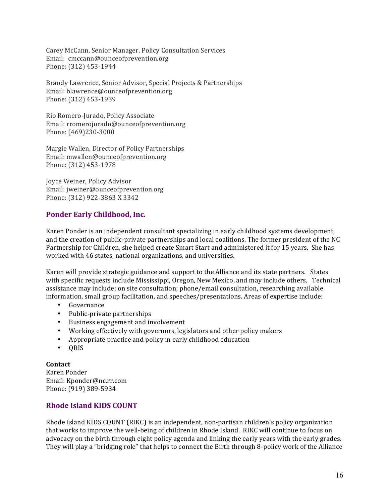Carey McCann, Senior Manager, Policy Consultation Services Email: cmccann@ounceofprevention.org Phone: (312) 453-1944

Brandy Lawrence, Senior Advisor, Special Projects & Partnerships Email: blawrence@ounceofprevention.org Phone: (312) 453-1939

Rio Romero-Jurado, Policy Associate Email: rromerojurado@ounceofprevention.org Phone: (469)230-3000

Margie Wallen, Director of Policy Partnerships Email: mwallen@ounceofprevention.org Phone: (312) 453-1978

Joyce Weiner, Policy Advisor Email: jweiner@ounceofprevention.org Phone: (312) 922-3863 X 3342

# **Ponder!Early!Childhood, Inc.**

Karen Ponder is an independent consultant specializing in early childhood systems development, and the creation of public-private partnerships and local coalitions. The former president of the NC Partnership for Children, she helped create Smart Start and administered it for 15 years. She has worked with 46 states, national organizations, and universities.

Karen will provide strategic guidance and support to the Alliance and its state partners. States with specific requests include Mississippi, Oregon, New Mexico, and may include others. Technical assistance may include: on site consultation; phone/email consultation, researching available information, small group facilitation, and speeches/presentations. Areas of expertise include:

- Governance
- Public-private partnerships
- Business engagement and involvement
- Working effectively with governors, legislators and other policy makers
- Appropriate practice and policy in early childhood education
- QRIS

**Contact** Karen'Ponder Email: Kponder@nc.rr.com Phone: (919) 389-5934

# **Rhode Island KIDS COUNT**

Rhode Island KIDS COUNT (RIKC) is an independent, non-partisan children's policy organization that works to improve the well-being of children in Rhode Island. RIKC will continue to focus on advocacy on the birth through eight policy agenda and linking the early years with the early grades. They will play a "bridging role" that helps to connect the Birth through 8-policy work of the Alliance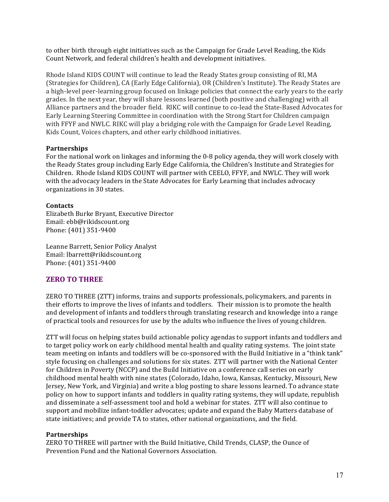to other birth through eight initiatives such as the Campaign for Grade Level Reading, the Kids' Count Network, and federal children's health and development initiatives.

Rhode Island KIDS COUNT will continue to lead the Ready States group consisting of RI, MA (Strategies for Children), CA (Early Edge California), OR (Children's Institute). The Ready States are a high-level peer-learning group focused on linkage policies that connect the early years to the early' grades. In the next year, they will share lessons learned (both positive and challenging) with all Alliance partners and the broader field. RIKC will continue to co-lead the State-Based Advocates for Early Learning Steering Committee in coordination with the Strong Start for Children campaign with FFYF and NWLC. RIKC will play a bridging role with the Campaign for Grade Level Reading, Kids Count, Voices chapters, and other early childhood initiatives.

## **Partnerships**

For the national work on linkages and informing the 0-8 policy agenda, they will work closely with the Ready States group including Early Edge California, the Children's Institute and Strategies for Children. Rhode Island KIDS COUNT will partner with CEELO, FFYF, and NWLC. They will work with the advocacy leaders in the State Advocates for Early Learning that includes advocacy organizations in 30 states.

## **Contacts**

Elizabeth Burke Bryant, Executive Director Email: ebb@rikidscount.org Phone: (401) 351-9400

Leanne Barrett, Senior Policy Analyst Email: lbarrett@rikidscount.org Phone: (401) 351-9400

# **ZERO TO THREE**

ZERO TO THREE (ZTT) informs, trains and supports professionals, policymakers, and parents in their' efforts to improve the lives of infants and toddlers. Their mission is to promote the health and development of infants and toddlers through translating research and knowledge into a range of practical tools and resources for use by the adults who influence the lives of young children.

ZTT will focus on helping states build actionable policy agendas to support infants and toddlers and to target policy work on early childhood mental health and quality rating systems. The joint state team'meeting on infants and toddlers will be co-sponsored with the Build Initiative in a "think tank" style focusing on challenges and solutions for six states. ZTT will partner with the National Center for Children in Poverty (NCCP) and the Build Initiative on a conference call series on early childhood mental health with nine states (Colorado, Idaho, Iowa, Kansas, Kentucky, Missouri, New Jersey, New York, and Virginia) and write a blog posting to share lessons learned. To advance state policy on how to support infants and toddlers in quality rating systems, they will update, republish and disseminate a self-assessment tool and hold a webinar for states. ZTT will also continue to support and mobilize infant-toddler advocates; update and expand the Baby Matters database of state initiatives; and provide TA to states, other national organizations, and the field.

## **Partnerships**

ZERO TO THREE will partner with the Build Initiative, Child Trends, CLASP, the Ounce of Prevention Fund and the National Governors Association.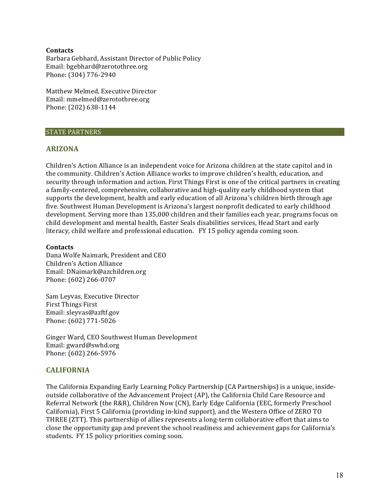## **Contacts**

Barbara Gebhard, Assistant Director of Public Policy Email: bgebhard@zerotothree.org Phone: (304) 776-2940

Matthew Melmed, Executive Director Email: mmelmed@zerotothree.org Phone: (202) 638-1144

### STATE'PARTNERS

## **ARIZONA**

Children's Action Alliance is an independent voice for Arizona children at the state capitol and in the community. Children's Action Alliance works to improve children's health, education, and security through information and action. First Things First is one of the critical partners in creating a family-centered, comprehensive, collaborative and high-quality early childhood system that supports the development, health and early education of all Arizona's children birth through age five. Southwest Human Development is Arizona's largest nonprofit dedicated to early childhood development. Serving more than 135,000 children and their families each year, programs focus on child development and mental health, Easter Seals disabilities services, Head Start and early literacy, child welfare and professional education. FY 15 policy agenda coming soon.

## **Contacts**

Dana Wolfe Naimark, President and CEO Children's Action Alliance Email:'DNaimark@azchildren.org Phone: (602) 266-0707

Sam Leyvas, Executive Director First Things First Email: sleyvas@azftf.gov Phone: (602) 771-5026

Ginger Ward, CEO Southwest Human Development Email: gward@swhd.org Phone: (602) 266-5976

## **CALIFORNIA**

The California Expanding Early Learning Policy Partnership (CA Partnerships) is a unique, insideoutside collaborative of the Advancement Project (AP), the California Child Care Resource and Referral Network (the R&R), Children Now (CN), Early Edge California (EEC, formerly Preschool California), First 5 California (providing in-kind support), and the Western Office of ZERO TO THREE (ZTT). This partnership of allies represents a long-term collaborative effort that aims to close the opportunity gap and prevent the school readiness and achievement gaps for California's students. FY 15 policy priorities coming soon.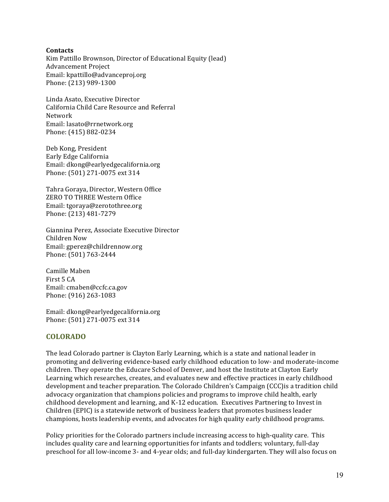## **Contacts**

Kim Pattillo Brownson, Director of Educational Equity (lead) Advancement Project Email: kpattillo@advanceproj.org Phone: (213) 989-1300

Linda Asato, Executive Director California Child Care Resource and Referral Network Email: lasato@rrnetwork.org Phone: (415) 882-0234

Deb Kong, President Early'Edge'California Email: dkong@earlyedgecalifornia.org Phone: (501) 271-0075 ext 314

Tahra Goraya, Director, Western Office ZERO TO THREE Western Office Email: tgoraya@zerotothree.org Phone: (213) 481-7279

Giannina Perez, Associate Executive Director Children'Now Email: gperez@childrennow.org Phone: (501) 763-2444

Camille'Maben' First 5 CA Email: cmaben@ccfc.ca.gov Phone: (916) 263-1083

Email: dkong@earlyedgecalifornia.org Phone: (501) 271-0075 ext 314

# **COLORADO**

The lead Colorado partner is Clayton Early Learning, which is a state and national leader in promoting and delivering evidence-based early childhood education to low- and moderate-income children. They operate the Educare School of Denver, and host the Institute at Clayton Early Learning which researches, creates, and evaluates new and effective practices in early childhood development and teacher preparation. The Colorado Children's Campaign (CCC) is a tradition child advocacy organization that champions policies and programs to improve child health, early childhood development and learning, and K-12 education. Executives Partnering to Invest in Children (EPIC) is a statewide network of business leaders that promotes business leader champions, hosts leadership events, and advocates for high quality early childhood programs.

Policy priorities for the Colorado partners include increasing access to high-quality care. This includes quality care and learning opportunities for infants and toddlers; voluntary, full-day preschool for all low-income 3- and 4-year olds; and full-day kindergarten. They will also focus on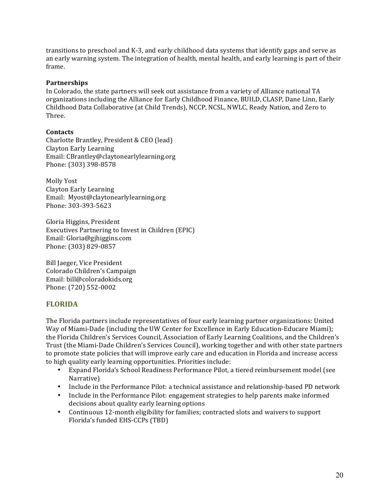transitions to preschool and K-3, and early childhood data systems that identify gaps and serve as an'early warning system. The integration of health, mental health, and early learning is part of their frame.'

## **Partnerships**

In Colorado, the state partners will seek out assistance from a variety of Alliance national TA organizations' including the Alliance for Early Childhood Finance, BUILD, CLASP, Dane Linn, Early Childhood Data Collaborative (at Child Trends), NCCP, NCSL, NWLC, Ready Nation, and Zero to Three.

## **Contacts**

Charlotte Brantley, President & CEO (lead) Clayton Early Learning Email:'CBrantley@claytonearlylearning.org Phone: (303) 398-8578

Molly Yost Clayton Early Learning Email: Myost@claytonearlylearning.org Phone: 303-393-5623

Gloria Higgins, President Executives Partnering to Invest in Children (EPIC) Email: Gloria@gjhiggins.com Phone: (303) 829-0857

Bill Jaeger, Vice President Colorado'Children's'Campaign Email: bill@coloradokids.org Phone: (720) 552-0002

## **FLORIDA**

The Florida partners include representatives of four early learning partner organizations: United Way of Miami-Dade (including the UW Center for Excellence in Early Education-Educare Miami); the Florida Children's Services Council, Association of Early Learning Coalitions, and the Children's Trust (the Miami-Dade Children's Services Council), working together and with other state partners to promote state policies that will improve early care and education in Florida and increase access' to high quality early learning opportunities. Priorities include:

- Expand Florida's School Readiness Performance Pilot, a tiered reimbursement model (see' Narrative)'
- Include in the Performance Pilot: a technical assistance and relationship-based PD network
- Include in the Performance Pilot: engagement strategies to help parents make informed decisions about quality early learning options
- Continuous 12-month eligibility for families; contracted slots and waivers to support Florida's funded EHS-CCPs (TBD)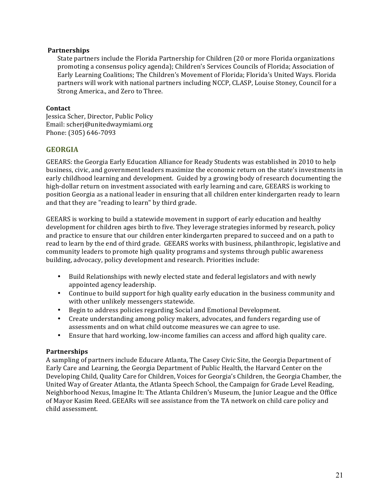## **Partnerships**

State partners include the Florida Partnership for Children (20 or more Florida organizations' promoting a consensus policy agenda); Children's Services Councils of Florida; Association of Early Learning Coalitions; The Children's Movement of Florida; Florida's United Ways. Florida partners will work with national partners including NCCP, CLASP, Louise Stoney, Council for a Strong America., and Zero to Three.

## **Contact**

Jessica Scher, Director, Public Policy Email: scherj@unitedwaymiami.org Phone: (305) 646-7093

## **GEORGIA**

GEEARS: the Georgia Early Education Alliance for Ready Students was established in 2010 to help business, civic, and government leaders maximize the economic return on the state's investments in early childhood learning and development. Guided by a growing body of research documenting the high-dollar return on investment associated with early learning and care, GEEARS is working to position Georgia as a national leader in ensuring that all children enter kindergarten ready to learn and that they are "reading to learn" by third grade.

GEEARS is working to build a statewide movement in support of early education and healthy development for children ages birth to five. They leverage strategies informed by research, policy and practice to ensure that our children enter kindergarten prepared to succeed and on a path to read to learn by the end of third grade. GEEARS works with business, philanthropic, legislative and community leaders to promote high quality programs and systems through public awareness building, advocacy, policy development and research. Priorities include:

- Build Relationships with newly elected state and federal legislators and with newly appointed agency leadership.
- Continue to build support for high quality early education in the business community and with other unlikely messengers statewide.
- Begin to address policies regarding Social and Emotional Development.
- Create understanding among policy makers, advocates, and funders regarding use of assessments and on what child outcome measures we can agree to use.
- Ensure that hard working, low-income families can access and afford high quality care.

## **Partnerships**

A sampling of partners include Educare Atlanta, The Casey Civic Site, the Georgia Department of Early Care and Learning, the Georgia Department of Public Health, the Harvard Center on the Developing Child, Quality Care for Children, Voices for Georgia's Children, the Georgia Chamber, the United Way of Greater Atlanta, the Atlanta Speech School, the Campaign for Grade Level Reading, Neighborhood Nexus, Imagine It: The Atlanta Children's Museum, the Junior League and the Office of Mayor Kasim Reed. GEEARs will see assistance from the TA network on child care policy and child'assessment.'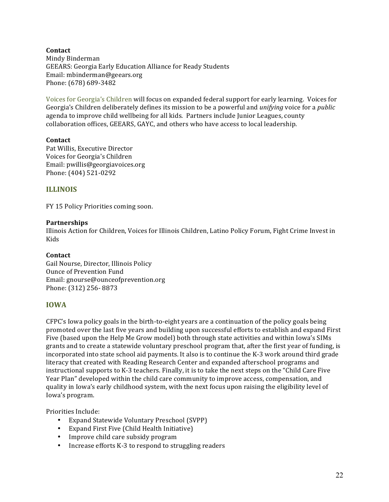**Contact** Mindy'Binderman GEEARS: Georgia Early Education Alliance for Ready Students Email: mbinderman@geears.org Phone: (678) 689-3482

Voices for Georgia's Children will focus on expanded federal support for early learning. Voices for Georgia's Children'deliberately defines its mission to be a powerful and *unifying* voice for a *public* agenda to improve child wellbeing for all kids. Partners include Junior Leagues, county collaboration offices, GEEARS, GAYC, and others who have access to local leadership.

## **Contact**

Pat Willis, Executive Director Voices for Georgia's Children Email: pwillis@georgiavoices.org Phone: (404) 521-0292

## **ILLINOIS**

FY 15 Policy Priorities coming soon.

### **Partnerships**

Illinois Action for Children, Voices for Illinois Children, Latino Policy Forum, Fight Crime Invest in Kids

### **Contact**

Gail Nourse, Director, Illinois Policy Ounce of Prevention Fund Email: gnourse@ounceofprevention.org Phone: (312) 256-8873

## **IOWA**

 $CFPC's$  Iowa policy goals in the birth-to-eight years are a continuation of the policy goals being promoted over the last five years and building upon successful efforts to establish and expand First Five (based upon the Help Me Grow model) both through state activities and within Iowa's SIMs grants and to create a statewide voluntary preschool program that, after the first year of funding, is incorporated into state school aid payments. It also is to continue the K-3 work around third grade literacy that created with Reading Research Center and expanded afterschool programs and instructional supports to K-3 teachers. Finally, it is to take the next steps on the "Child Care Five" Year Plan" developed within the child care community to improve access, compensation, and quality in Iowa's early childhood system, with the next focus upon raising the eligibility level of Iowa's program.

Priorities Include:

- Expand Statewide Voluntary Preschool (SVPP)
- Expand First Five (Child Health Initiative)
- Improve child care subsidy program
- Increase efforts K-3 to respond to struggling readers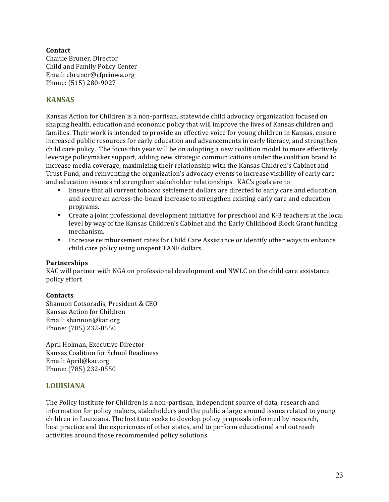## **Contact**

Charlie Bruner, Director Child and Family Policy Center Email: cbruner@cfpciowa.org Phone: (515) 280-9027

# **KANSAS**

Kansas Action for Children is a non-partisan, statewide child advocacy organization focused on shaping health, education and economic policy that will improve the lives of Kansas children and families. Their work is intended to provide an effective voice for young children in Kansas, ensure increased public resources for early education and advancements in early literacy, and strengthen' child care policy. The focus this year will be on adopting a new coalition model to more effectively leverage policymaker support, adding new strategic communications under the coalition brand to increase media coverage, maximizing their relationship with the Kansas Children's Cabinet and Trust Fund, and reinventing the organization's advocacy events to increase visibility of early care and education issues and strengthen stakeholder relationships. KAC's goals are to

- Ensure that all current tobacco settlement dollars are directed to early care and education, and secure an across-the-board increase to strengthen existing early care and education programs.
- Create a joint professional development initiative for preschool and K-3 teachers at the local level by way of the Kansas Children's Cabinet and the Early Childhood Block Grant funding mechanism.
- Increase reimbursement rates for Child Care Assistance or identify other ways to enhance child care policy using unspent TANF dollars.

## **Partnerships**

KAC will partner with NGA on professional development and NWLC on the child care assistance policy effort.

### **Contacts**

Shannon Cotsoradis, President & CEO Kansas Action for Children Email: shannon@kac.org Phone: (785) 232-0550

April Holman, Executive Director Kansas Coalition for School Readiness Email: April@kac.org Phone: (785) 232-0550

## **LOUISIANA**

The Policy Institute for Children is a non-partisan, independent source of data, research and information for policy makers, stakeholders and the public a large around issues related to young children in Louisiana. The Institute seeks to develop policy proposals informed by research, best practice and the experiences of other states, and to perform educational and outreach activities around those recommended policy solutions.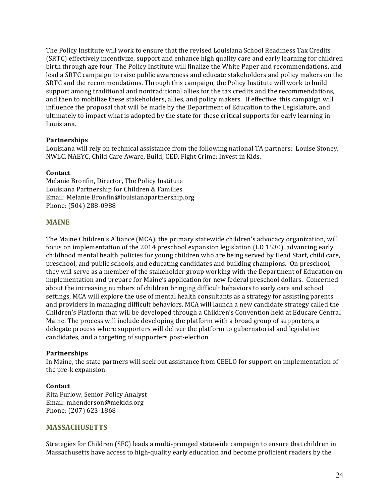The Policy Institute will work to ensure that the revised Louisiana School Readiness Tax Credits' (SRTC) effectively incentivize, support and enhance high quality care and early learning for children' birth through age four. The Policy Institute will finalize the White Paper and recommendations, and lead a SRTC campaign to raise public awareness and educate stakeholders and policy makers on the SRTC and the recommendations. Through this campaign, the Policy Institute will work to build support among traditional and nontraditional allies for the tax credits and the recommendations, and then to mobilize these stakeholders, allies, and policy makers. If effective, this campaign will influence the proposal that will be made by the Department of Education to the Legislature, and ultimately to impact what is adopted by the state for these critical supports for early learning in Louisiana.

## **Partnerships**

Louisiana will rely on technical assistance from the following national TA partners: Louise Stoney, NWLC, NAEYC, Child Care Aware, Build, CED, Fight Crime: Invest in Kids.

## **Contact**

Melanie Bronfin, Director, The Policy Institute Louisiana Partnership for Children & Families Email:'Melanie.Bronfin@louisianapartnership.org Phone: (504) 288-0988

## **MAINE**

The Maine Children's Alliance (MCA), the primary statewide children's advocacy organization, will focus on implementation of the 2014 preschool expansion legislation (LD 1530), advancing early childhood mental health policies for young children who are being served by Head Start, child care, preschool, and public schools, and educating candidates and building champions. On preschool, they will serve as a member of the stakeholder group working with the Department of Education on implementation and prepare for Maine's application for new federal preschool dollars. Concerned about the increasing numbers of children bringing difficult behaviors to early care and school settings, MCA will explore the use of mental health consultants as a strategy for assisting parents and providers in managing difficult behaviors. MCA will launch a new candidate strategy called the Children's Platform that will be developed through a Children's Convention held at Educare Central Maine. The process will include developing the platform with a broad group of supporters, a delegate process where supporters will deliver the platform to gubernatorial and legislative candidates, and a targeting of supporters post-election.

### **Partnerships**

In Maine, the state partners will seek out assistance from CEELO for support on implementation of the pre-k expansion.

## **Contact**

Rita Furlow, Senior Policy Analyst Email: mhenderson@mekids.org Phone: (207) 623-1868

## **MASSACHUSETTS**

Strategies for Children (SFC) leads a multi-pronged statewide campaign to ensure that children in Massachusetts have access to high-quality early education and become proficient readers by the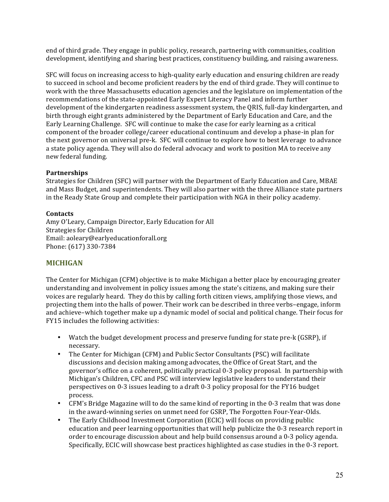end of third grade. They engage in public policy, research, partnering with communities, coalition development, identifying and sharing best practices, constituency building, and raising awareness.

SFC will focus on increasing access to high-quality early education and ensuring children are ready to succeed in school and become proficient readers by the end of third grade. They will continue to work with the three Massachusetts education agencies and the legislature on implementation of the recommendations of the state-appointed Early Expert Literacy Panel and inform further development of the kindergarten readiness assessment system, the QRIS, full-day kindergarten, and birth through eight grants administered by the Department of Early Education and Care, and the Early Learning Challenge. SFC will continue to make the case for early learning as a critical component of the broader college/career educational continuum and develop a phase-in plan for the next governor on universal pre-k. SFC will continue to explore how to best leverage to advance a state policy agenda. They will also do federal advocacy and work to position MA to receive any new federal funding.

## **Partnerships**

Strategies for Children (SFC) will partner with the Department of Early Education and Care, MBAE and Mass Budget, and superintendents. They will also partner with the three Alliance state partners' in the Ready State Group and complete their participation with NGA in their policy academy.

## **Contacts**

Amy O'Leary, Campaign Director, Early Education for All Strategies for Children Email: aoleary@earlyeducationforall.org Phone: (617) 330-7384

# **MICHIGAN**

The Center for Michigan (CFM) objective is to make Michigan a better place by encouraging greater understanding and involvement in policy issues among the state's citizens, and making sure their voices are regularly heard. They do this by calling forth citizen views, amplifying those views, and projecting them into the halls of power. Their work can be described in three verbs–engage, inform' and achieve–which together make up a dynamic model of social and political change. Their focus for FY15 includes the following activities:

- Watch the budget development process and preserve funding for state pre-k (GSRP), if necessary.
- The Center for Michigan (CFM) and Public Sector Consultants (PSC) will facilitate discussions and decision making among advocates, the Office of Great Start, and the governor's office on a coherent, politically practical 0-3 policy proposal. In partnership with Michigan's Children, CFC and PSC will interview legislative leaders to understand their perspectives on 0-3 issues leading to a draft 0-3 policy proposal for the FY16 budget process.'
- CFM's Bridge Magazine will to do the same kind of reporting in the 0-3 realm that was done in the award-winning series on unmet need for GSRP, The Forgotten Four-Year-Olds.
- The Early Childhood Investment Corporation (ECIC) will focus on providing public education and peer learning opportunities that will help publicize the 0-3 research report in order to encourage discussion about and help build consensus around a 0-3 policy agenda. Specifically, ECIC will showcase best practices highlighted as case studies in the 0-3 report.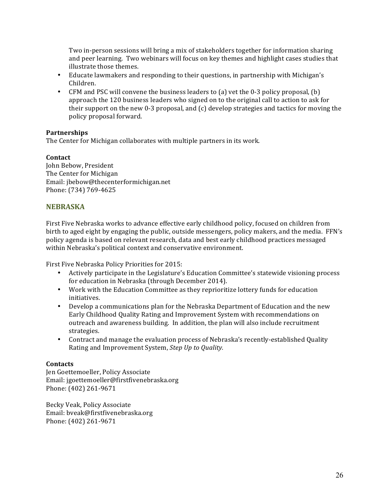Two in-person sessions will bring a mix of stakeholders together for information sharing and peer learning. Two webinars will focus on key themes and highlight cases studies that illustrate those themes.

- Educate lawmakers and responding to their questions, in partnership with Michigan's Children.
- CFM and PSC will convene the business leaders to (a) vet the 0-3 policy proposal, (b) approach the 120 business leaders who signed on to the original call to action to ask for their support on the new 0-3 proposal, and  $(c)$  develop strategies and tactics for moving the policy proposal forward.

## **Partnerships**

The Center for Michigan collaborates with multiple partners in its work.

## **Contact**

John Bebow, President The Center for Michigan Email:'jbebow@thecenterformichigan.net Phone: (734) 769-4625

# **NEBRASKA!**

First Five Nebraska works to advance effective early childhood policy, focused on children from birth to aged eight by engaging the public, outside messengers, policy makers, and the media. FFN's policy agenda is based on relevant research, data and best early childhood practices messaged within Nebraska's political context and conservative environment.

First Five Nebraska Policy Priorities for 2015:

- Actively participate in the Legislature's Education Committee's statewide visioning process for education in Nebraska (through December 2014).
- Work with the Education Committee as they reprioritize lottery funds for education initiatives.
- Develop a communications plan for the Nebraska Department of Education and the new Early'Childhood'Quality'Rating'and Improvement'System'with'recommendations'on' outreach and awareness building. In addition, the plan will also include recruitment strategies.
- Contract and manage the evaluation process of Nebraska's recently-established Quality Rating and Improvement System, *Step Up to Quality*.

## **Contacts**

Jen Goettemoeller, Policy Associate Email:'jgoettemoeller@firstfivenebraska.org Phone: (402) 261-9671

Becky Veak, Policy Associate Email:'bveak@firstfivenebraska.org Phone: (402) 261-9671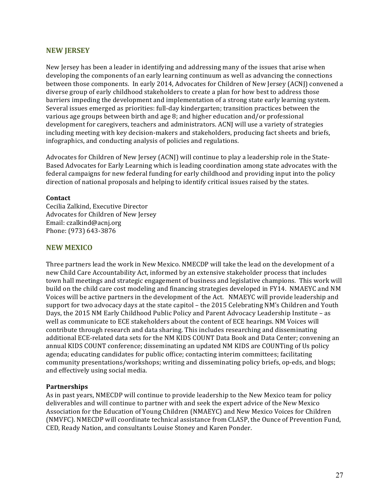## **NEW!JERSEY**

New Jersey has been a leader in identifying and addressing many of the issues that arise when' developing the components of an early learning continuum as well as advancing the connections between those components. In early 2014, Advocates for Children of New Jersey (ACNJ) convened a diverse group of early childhood stakeholders to create a plan for how best to address those barriers impeding the development and implementation of a strong state early learning system. Several issues emerged as priorities: full-day kindergarten; transition practices between the various' age groups' between birth'and'age 8; and higher's education and/or professional development for caregivers, teachers and administrators. ACNJ will use a variety of strategies including meeting with key decision-makers and stakeholders, producing fact sheets and briefs, infographics, and conducting analysis of policies and regulations.

Advocates for Children of New Jersey (ACNJ) will continue to play a leadership role in the State-Based Advocates for Early Learning which is leading coordination among state advocates with the federal campaigns for new federal funding for early childhood and providing input into the policy direction of national proposals and helping to identify critical issues raised by the states.

## **Contact**

Cecilia Zalkind, Executive Director Advocates for Children of New Jersey Email: czalkind@acnj.org Phone: (973) 643-3876

## **NEW!MEXICO**

Three partners lead the work in New Mexico. NMECDP will take the lead on the development of a new Child Care Accountability Act, informed by an extensive stakeholder process that includes town'hall'meetings and strategic engagement of business and legislative champions. This work will build on the child care cost modeling and financing strategies developed in FY14. NMAEYC and NM Voices will be active partners in the development of the Act. NMAEYC will provide leadership and support for two advocacy days at the state capitol – the 2015 Celebrating NM's Children and Youth' Days, the 2015 NM Early Childhood Public Policy and Parent Advocacy Leadership Institute - as well as communicate to ECE stakeholders about the content of ECE hearings. NM Voices will contribute through research and data sharing. This includes researching and disseminating additional ECE-related data sets for the NM KIDS COUNT Data Book and Data Center; convening an annual KIDS COUNT conference; disseminating an updated NM KIDS are COUNTing of Us policy agenda; educating candidates for public office; contacting interim committees; facilitating community presentations/workshops; writing and disseminating policy briefs, op-eds, and blogs; and effectively using social media.

### **Partnerships**

As in past years, NMECDP will continue to provide leadership to the New Mexico team for policy deliverables and will continue to partner with and seek the expert advice of the New Mexico' Association for the Education of Young Children (NMAEYC) and New Mexico Voices for Children (NMVFC). NMECDP will coordinate technical assistance from CLASP, the Ounce of Prevention Fund, CED, Ready Nation, and consultants Louise Stoney and Karen Ponder.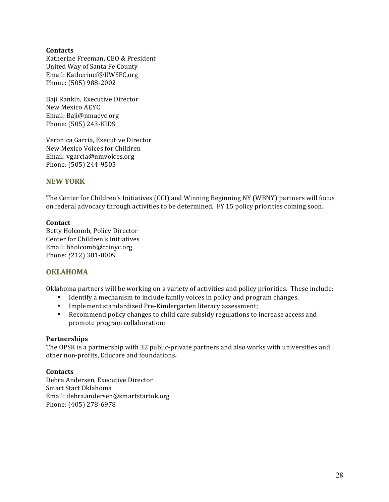## **Contacts**

Katherine Freeman, CEO & President United Way of Santa Fe County Email: Katherinef@UWSFC.org Phone: (505) 988-2002

Baji Rankin, Executive Director New Mexico AEYC Email: Baji@nmaeyc.org Phone: (505) 243-KIDS

Veronica Garcia, Executive Director New Mexico Voices for Children Email: vgarcia@nmvoices.org Phone: (505) 244-9505

## **NEW!YORK**

The Center for Children's Initiatives (CCI) and Winning Beginning NY (WBNY) partners will focus on federal advocacy through activities to be determined. FY 15 policy priorities coming soon.

### **Contact**

Betty Holcomb, Policy Director Center for Children's Initiatives Email: bholcomb@ccinyc.org Phone: (212) 381-0009

# **OKLAHOMA!**

Oklahoma partners will be working on a variety of activities and policy priorities. These include:

- Identify a mechanism to include family voices in policy and program changes.
- Implement standardized Pre-Kindergarten literacy assessment;
- Recommend policy changes to child care subsidy regulations to increase access and promote program collaboration;

### **Partnerships**

The OPSR is a partnership with 32 public-private partners and also works with universities and other non-profits, Educare and foundations.

### **Contacts**

Debra Andersen, Executive Director Smart Start Oklahoma Email:'debra.andersen@smartstartok.org Phone: (405) 278-6978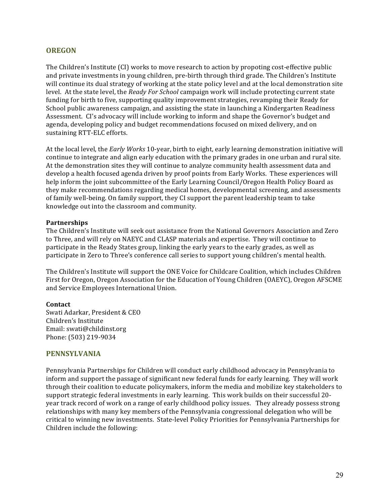## **OREGON**

The Children's Institute (CI) works to move research to action by propoting cost-effective public and private investments in young children, pre-birth through third grade. The Children's Institute will continue its dual strategy of working at the state policy level and at the local demonstration site level.' At the state level, the *Ready For School* campaign work will include protecting current state funding for birth to five, supporting quality improvement strategies, revamping their Ready for School public awareness campaign, and assisting the state in launching a Kindergarten Readiness Assessment. CI's advocacy will include working to inform and shape the Governor's budget and agenda, developing policy and budget recommendations focused on mixed delivery, and on sustaining RTT-ELC efforts.

At the local level, the *Early Works* 10-year, birth to eight, early learning demonstration initiative will continue to integrate and align early education with the primary grades in one urban and rural site. At the demonstration sites they will continue to analyze community health assessment data and develop a health focused agenda driven by proof points from Early Works. These experiences will help inform the joint subcommittee of the Early Learning Council/Oregon Health Policy Board as they make recommendations regarding medical homes, developmental screening, and assessments of family well-being. On family support, they CI support the parent leadership team to take knowledge out into the classroom and community.

### **Partnerships**

The Children's Institute will seek out assistance from the National Governors Association and Zero' to Three, and will rely on NAEYC and CLASP materials and expertise. They will continue to participate in the Ready States group, linking the early years to the early grades, as well as participate in Zero to Three's conference call series to support young children's mental health.

The Children's Institute will support the ONE Voice for Childcare Coalition, which includes Children First for Oregon, Oregon Association for the Education of Young Children (OAEYC), Oregon AFSCME and Service Employees International Union.

#### **Contact**

Swati Adarkar, President & CEO Children's Institute Email: swati@childinst.org Phone: (503) 219-9034

### **PENNSYLVANIA!**

Pennsylvania Partnerships for Children will conduct early childhood advocacy in Pennsylvania to inform and support the passage of significant new federal funds for early learning. They will work through their coalition to educate policymakers, inform the media and mobilize key stakeholders to support strategic federal investments in early learning. This work builds on their successful 20year track record of work on a range of early childhood policy issues. They already possess strong relationships with many key members of the Pennsylvania congressional delegation who will be critical to winning new investments. State-level Policy Priorities for Pennsylvania Partnerships for Children include the following: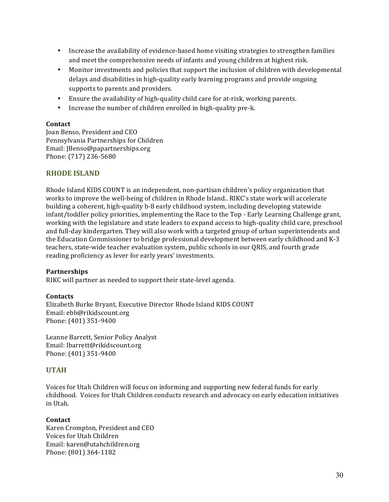- Increase the availability of evidence-based home visiting strategies to strengthen families and meet the comprehensive needs of infants and young children at highest risk.
- Monitor investments and policies that support the inclusion of children with developmental delays and disabilities in high-quality early learning programs and provide ongoing supports to parents and providers.
- Ensure the availability of high-quality child care for at-risk, working parents.
- Increase the number of children enrolled in high-quality pre-k.

## **Contact**

Joan Benso, President and CEO Pennsylvania Partnerships for Children Email: JBenso@papartnerships.org Phone: (717) 236-5680

## **RHODE ISLAND**

Rhode Island KIDS COUNT is an independent, non-partisan children's policy organization that works to improve the well-being of children in Rhode Island.. RIKC's state work will accelerate building a coherent, high-quality b-8 early childhood system, including developing statewide infant/toddler policy priorities, implementing the Race to the Top - Early Learning Challenge grant, working with the legislature and state leaders to expand access to high-quality child care, preschool and full-day kindergarten. They will also work with a targeted group of urban superintendents and the Education Commissioner to bridge professional development between early childhood and K-3' teachers, state-wide teacher evaluation system, public schools in our QRIS, and fourth grade reading proficiency as lever for early years' investments.

## **Partnerships**

RIKC will partner as needed to support their state-level agenda.

### **Contacts**

Elizabeth Burke Bryant, Executive Director Rhode Island KIDS COUNT Email: ebb@rikidscount.org Phone: (401) 351-9400

Leanne Barrett, Senior Policy Analyst Email: lbarrett@rikidscount.org Phone: (401) 351-9400

## **UTAH!**

Voices for Utah Children will focus on informing and supporting new federal funds for early childhood. Voices for Utah Children conducts research and advocacy on early education initiatives in'Utah.

### **Contact**

Karen Crompton, President and CEO Voices for Utah Children Email: karen@utahchildren.org Phone: (801) 364-1182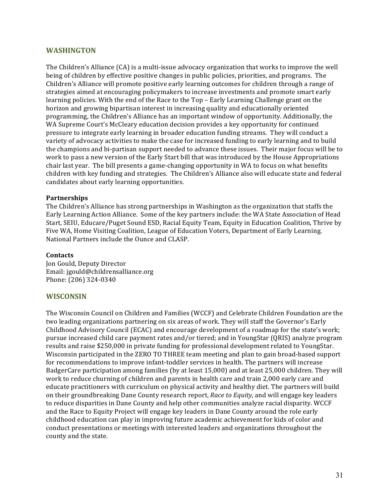## **WASHINGTON**

The Children's Alliance (CA) is a multi-issue advocacy organization that works to improve the well being of children by effective positive changes in public policies, priorities, and programs. The Children's Alliance will promote positive early learning outcomes for children through a range of strategies aimed at encouraging policymakers to increase investments and promote smart early learning policies. With the end of the Race to the Top - Early Learning Challenge grant on the horizon and growing bipartisan interest in increasing quality and educationally oriented programming, the Children's Alliance has an important window of opportunity. Additionally, the WA Supreme Court's McCleary education decision provides a key opportunity for continued pressure to integrate early learning in broader education funding streams. They will conduct a variety of advocacy activities to make the case for increased funding to early learning and to build the champions and bi-partisan support needed to advance these issues. Their major focus will be to work to pass a new version of the Early Start bill that was introduced by the House Appropriations' chair' last year. The bill presents a game-changing opportunity in WA to focus on what benefits children with key funding and strategies. The Children's Alliance also will educate state and federal candidates about early learning opportunities.

### **Partnerships**

The Children's Alliance has strong partnerships in Washington as the organization that staffs the Early Learning Action Alliance.' Some of the key partners include: the WA State Association of Head Start, SEIU, Educare/Puget Sound ESD, Racial Equity Team, Equity in Education Coalition, Thrive by Five WA, Home Visiting Coalition, League of Education Voters, Department of Early Learning. National Partners include the Ounce and CLASP.

#### **Contacts**

Jon Gould, Deputy Director Email:'jgould@childrensalliance.org Phone: (206) 324-0340

### **WISCONSIN**

The Wisconsin Council on Children and Families (WCCF) and Celebrate Children Foundation are the two leading organizations partnering on six areas of work. They will staff the Governor's Early Childhood Advisory Council (ECAC) and encourage development of a roadmap for the state's work; pursue'increased'child'care'payment'rates'and/or'tiered;'and'in'YoungStar'(QRIS)'analyze'program' results and raise \$250,000 in private funding for professional development related to YoungStar. Wisconsin participated in the ZERO TO THREE team meeting and plan to gain broad-based support for recommendations to improve infant-toddler services in health. The partners will increase BadgerCare participation among families (by at least 15,000) and at least 25,000 children. They will work to reduce churning of children and parents in health care and train 2,000 early care and educate practitioners with curriculum on physical activity and healthy diet. The partners will build on their groundbreaking Dane County research report, *Race to Equity*, and will engage key leaders to reduce disparities in Dane County and help other communities analyze racial disparity. WCCF and the Race to Equity Project will engage key leaders in Dane County around the role early childhood'education'can'play'in improving'future'academic'achievement'for'kids'of'color'and' conduct'presentations'or'meetings'with'interested'leaders'and'organizations'throughout'the' county and the state.